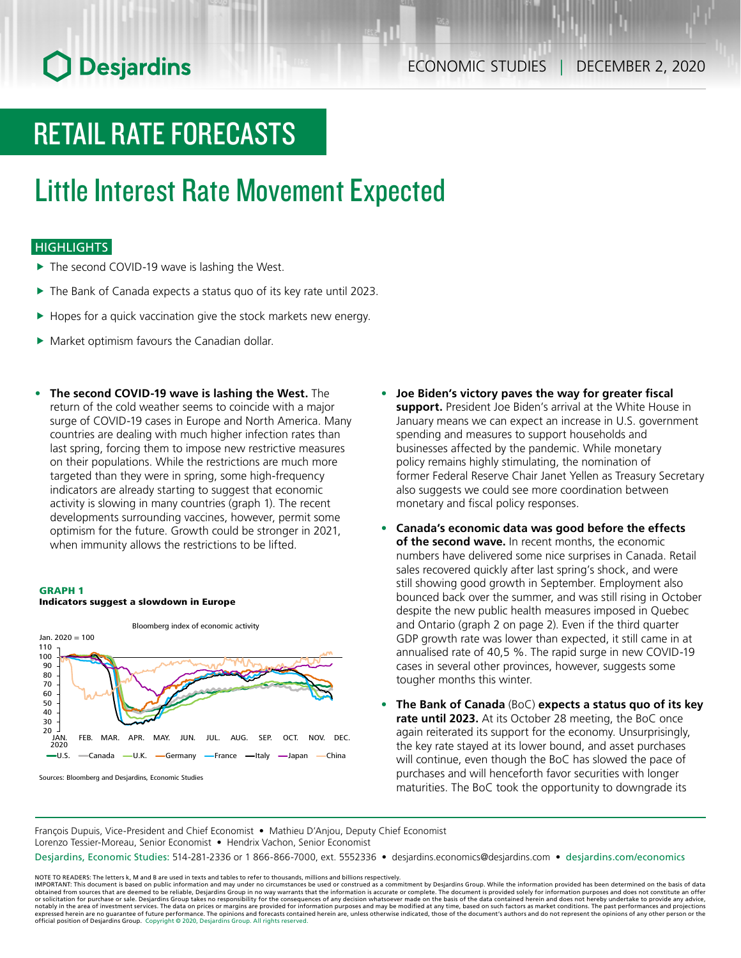# **O** Desjardins

# RETAIL RATE FORECASTS

## Little Interest Rate Movement Expected

### **HIGHLIGHTS**

- $\blacktriangleright$  The second COVID-19 wave is lashing the West.
- $\blacktriangleright$  The Bank of Canada expects a status quo of its key rate until 2023.
- $\blacktriangleright$  Hopes for a quick vaccination give the stock markets new energy.
- $\blacktriangleright$  Market optimism favours the Canadian dollar.
- **• The second COVID‑19 wave is lashing the West.** The return of the cold weather seems to coincide with a major surge of COVID-19 cases in Europe and North America. Many countries are dealing with much higher infection rates than last spring, forcing them to impose new restrictive measures on their populations. While the restrictions are much more targeted than they were in spring, some high-frequency indicators are already starting to suggest that economic activity is slowing in many countries (graph 1). The recent developments surrounding vaccines, however, permit some optimism for the future. Growth could be stronger in 2021, when immunity allows the restrictions to be lifted.





Sources: Bloomberg and Desjardins, Economic Studies

- **• Joe Biden's victory paves the way for greater fiscal support.** President Joe Biden's arrival at the White House in January means we can expect an increase in U.S. government spending and measures to support households and businesses affected by the pandemic. While monetary policy remains highly stimulating, the nomination of former Federal Reserve Chair Janet Yellen as Treasury Secretary also suggests we could see more coordination between monetary and fiscal policy responses.
- **• Canada's economic data was good before the effects of the second wave.** In recent months, the economic numbers have delivered some nice surprises in Canada. Retail sales recovered quickly after last spring's shock, and were still showing good growth in September. Employment also bounced back over the summer, and was still rising in October despite the new public health measures imposed in Quebec and Ontario (graph 2 on page 2). Even if the third quarter GDP growth rate was lower than expected, it still came in at annualised rate of 40,5 %. The rapid surge in new COVID-19 cases in several other provinces, however, suggests some tougher months this winter.
- **• The Bank of Canada** (BoC) **expects a status quo of its key rate until 2023.** At its October 28 meeting, the BoC once again reiterated its support for the economy. Unsurprisingly, the key rate stayed at its lower bound, and asset purchases will continue, even though the BoC has slowed the pace of purchases and will henceforth favor securities with longer maturities. The BoC took the opportunity to downgrade its

François Dupuis, Vice-President and Chief Economist • Mathieu D'Anjou, Deputy Chief Economist Lorenzo Tessier-Moreau, Senior Economist • Hendrix Vachon, Senior Economist

Desjardins, Economic Studies: 514-281-2336 or 1 866-866-7000, ext. 5552336 • desjardins.economics@desjardins.com • [desjardins.com/economics](http://desjardins.com/economics)

NOTE TO READERS: The letters k, M and B are used in texts and tables to refer to thousands, millions and billions respectively.<br>IMPORTANT: This document is based on public information and may under no circumstances be used obtained from sources that are deemed to be reliable, Desjardins Group in no way warrants that the information is accurate or complete. The document is provided solely for information purposes and does not constitute an of expressed herein are no guarantee of future performance. The opinions and forecasts contained herein are, unless otherwise indicated, those of the document's authors and do not represent the opinions of any other person or official position of Desjardins Group. Copyright © 2020, Desjardins Group. All rights reserved.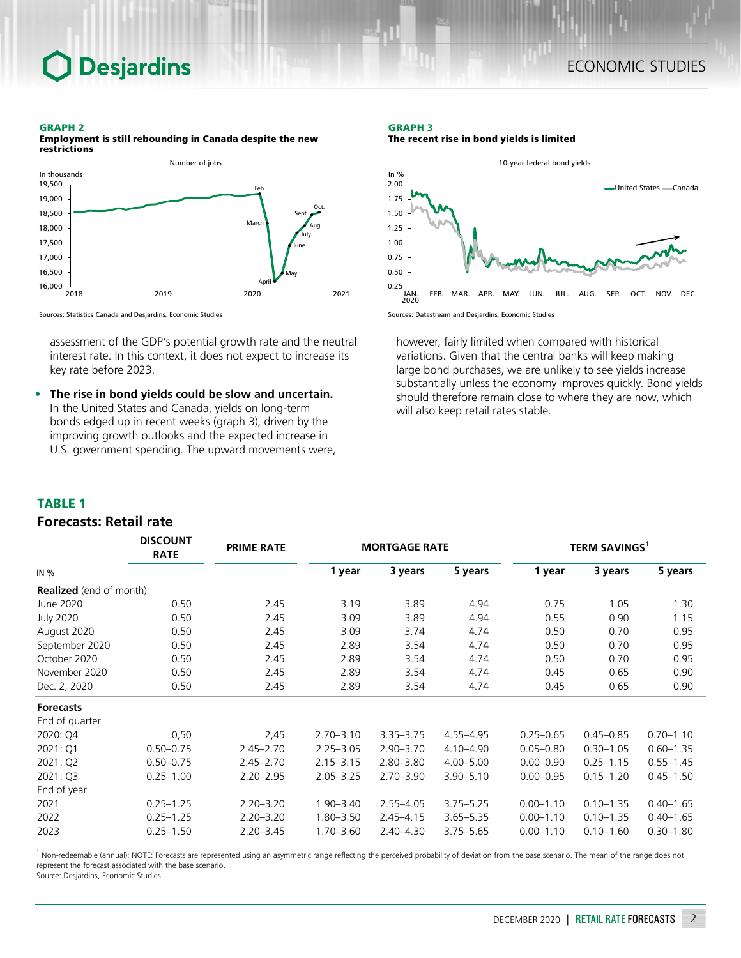## **Desjardins**

### ECONOMIC STUDIES

#### GRAPH 2

Employment is still rebounding in Canada despite the new restrictions



Sources: Statistics Canada and Desjardins, Economic Studies

assessment of the GDP's potential growth rate and the neutral interest rate. In this context, it does not expect to increase its key rate before 2023.

**• The rise in bond yields could be slow and uncertain.** In the United States and Canada, yields on long-term bonds edged up in recent weeks (graph 3), driven by the improving growth outlooks and the expected increase in U.S. government spending. The upward movements were,

*DISCOUNT* 

#### GRAPH 3 The recent rise in bond yields is limited



Sources: Datastream and Desjardins, Economic Studies

however, fairly limited when compared with historical variations. Given that the central banks will keep making large bond purchases, we are unlikely to see yields increase substantially unless the economy improves quickly. Bond yields should therefore remain close to where they are now, which will also keep retail rates stable.

#### TABLE 1

### *Forecasts: Retail rate*

|                                | <b>DISCOUNT</b><br><b>RATE</b> | <b>PRIME RATE</b> |               | <b>MORTGAGE RATE</b> |               | TERM SAVINGS <sup>1</sup> |               |               |  |
|--------------------------------|--------------------------------|-------------------|---------------|----------------------|---------------|---------------------------|---------------|---------------|--|
| IN %                           |                                |                   | 1 year        | 3 years              | 5 years       | 1 year                    | 3 years       | 5 years       |  |
| <b>Realized</b> (end of month) |                                |                   |               |                      |               |                           |               |               |  |
| June 2020                      | 0.50                           | 2.45              | 3.19          | 3.89                 | 4.94          | 0.75                      | 1.05          | 1.30          |  |
| <b>July 2020</b>               | 0.50                           | 2.45              | 3.09          | 3.89                 | 4.94          | 0.55                      | 0.90          | 1.15          |  |
| August 2020                    | 0.50                           | 2.45              | 3.09          | 3.74                 | 4.74          | 0.50                      | 0.70          | 0.95          |  |
| September 2020                 | 0.50                           | 2.45              | 2.89          | 3.54                 | 4.74          | 0.50                      | 0.70          | 0.95          |  |
| October 2020                   | 0.50                           | 2.45              | 2.89          | 3.54                 | 4.74          | 0.50                      | 0.70          | 0.95          |  |
| November 2020                  | 0.50                           | 2.45              | 2.89          | 3.54                 | 4.74          | 0.45                      | 0.65          | 0.90          |  |
| Dec. 2, 2020                   | 0.50                           | 2.45              | 2.89          | 3.54                 | 4.74          | 0.45                      | 0.65          | 0.90          |  |
| <b>Forecasts</b>               |                                |                   |               |                      |               |                           |               |               |  |
| <b>End of quarter</b>          |                                |                   |               |                      |               |                           |               |               |  |
| 2020: Q4                       | 0,50                           | 2,45              | $2.70 - 3.10$ | $3.35 - 3.75$        | 4.55-4.95     | $0.25 - 0.65$             | $0.45 - 0.85$ | $0.70 - 1.10$ |  |
| 2021: Q1                       | $0.50 - 0.75$                  | $2.45 - 2.70$     | $2.25 - 3.05$ | $2.90 - 3.70$        | 4.10-4.90     | $0.05 - 0.80$             | $0.30 - 1.05$ | $0.60 - 1.35$ |  |
| 2021: Q2                       | $0.50 - 0.75$                  | $2.45 - 2.70$     | $2.15 - 3.15$ | $2.80 - 3.80$        | $4.00 - 5.00$ | $0.00 - 0.90$             | $0.25 - 1.15$ | $0.55 - 1.45$ |  |
| 2021: Q3                       | $0.25 - 1.00$                  | $2.20 - 2.95$     | $2.05 - 3.25$ | $2.70 - 3.90$        | 3.90-5.10     | $0.00 - 0.95$             | $0.15 - 1.20$ | $0.45 - 1.50$ |  |
| <b>End of year</b>             |                                |                   |               |                      |               |                           |               |               |  |
| 2021                           | $0.25 - 1.25$                  | $2.20 - 3.20$     | $1.90 - 3.40$ | $2.55 - 4.05$        | $3.75 - 5.25$ | $0.00 - 1.10$             | $0.10 - 1.35$ | $0.40 - 1.65$ |  |
| 2022                           | $0.25 - 1.25$                  | $2.20 - 3.20$     | $1.80 - 3.50$ | $2.45 - 4.15$        | $3.65 - 5.35$ | $0.00 - 1.10$             | $0.10 - 1.35$ | $0.40 - 1.65$ |  |
| 2023                           | $0.25 - 1.50$                  | $2.20 - 3.45$     | $1.70 - 3.60$ | $2.40 - 4.30$        | $3.75 - 5.65$ | $0.00 - 1.10$             | $0.10 - 1.60$ | $0.30 - 1.80$ |  |

<sup>1</sup> Non-redeemable (annual); NOTE: Forecasts are represented using an asymmetric range reflecting the perceived probability of deviation from the base scenario. The mean of the range does not represent the forecast associated with the base scenario.

Source: Desjardins, Economic Studies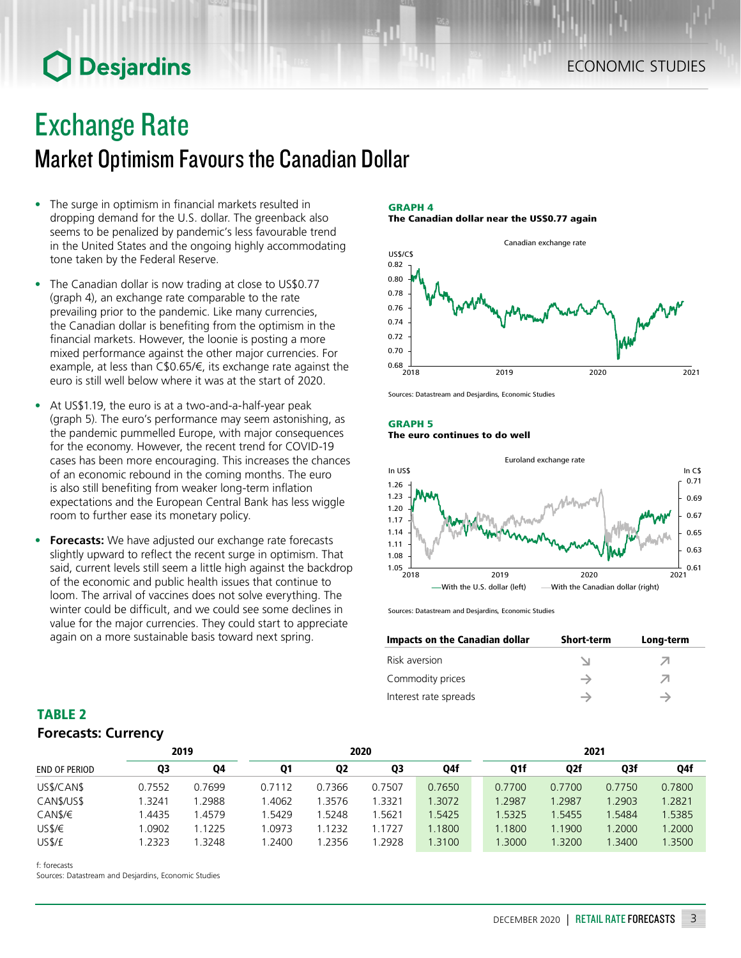# **O** Desjardins

## Exchange Rate

## Market Optimism Favours the Canadian Dollar

- The surge in optimism in financial markets resulted in dropping demand for the U.S. dollar. The greenback also seems to be penalized by pandemic's less favourable trend in the United States and the ongoing highly accommodating tone taken by the Federal Reserve.
- The Canadian dollar is now trading at close to US\$0.77 (graph 4), an exchange rate comparable to the rate prevailing prior to the pandemic. Like many currencies, the Canadian dollar is benefiting from the optimism in the financial markets. However, the loonie is posting a more mixed performance against the other major currencies. For example, at less than C\$0.65/€, its exchange rate against the euro is still well below where it was at the start of 2020.
- At US\$1.19, the euro is at a two-and-a-half-year peak (graph 5). The euro's performance may seem astonishing, as the pandemic pummelled Europe, with major consequences for the economy. However, the recent trend for COVID-19 cases has been more encouraging. This increases the chances of an economic rebound in the coming months. The euro is also still benefiting from weaker long-term inflation expectations and the European Central Bank has less wiggle room to further ease its monetary policy.
- **• Forecasts:** We have adjusted our exchange rate forecasts slightly upward to reflect the recent surge in optimism. That said, current levels still seem a little high against the backdrop of the economic and public health issues that continue to loom. The arrival of vaccines does not solve everything. The winter could be difficult, and we could see some declines in value for the major currencies. They could start to appreciate again on a more sustainable basis toward next spring.

#### GRAPH 4 The Canadian dollar near the US\$0.77 again



Sources: Datastream and Desjardins, Economic Studies

#### GRAPH 5 The euro continues to do well



Sources: Datastream and Desjardins, Economic Studies

| Impacts on the Canadian dollar | <b>Short-term</b> | Long-term |
|--------------------------------|-------------------|-----------|
| Risk aversion                  |                   |           |
| Commodity prices               |                   | ↗         |
| Interest rate spreads          |                   |           |

### TABLE 2 *Forecasts: Currency*

| 2019                 |        |        | 2020   |                |        |        | 2021   |                  |        |        |  |
|----------------------|--------|--------|--------|----------------|--------|--------|--------|------------------|--------|--------|--|
| <b>END OF PERIOD</b> | Q3     | Q4     | Q1     | Q <sub>2</sub> | Q3     | Q4f    | Q1f    | Q <sub>2</sub> f | Q3f    | Q4f    |  |
| US\$/CAN\$           | 0.7552 | 0.7699 | 0.7112 | 0.7366         | 0.7507 | 0.7650 | 0.7700 | 0.7700           | 0.7750 | 0.7800 |  |
| CAN\$/US\$           | .3241  | 1.2988 | .4062  | .3576          | 1.3321 | 1.3072 | 1.2987 | .2987            | 1.2903 | 1.2821 |  |
| CANS/E               | .4435  | 1.4579 | .5429  | .5248          | 1.5621 | 1.5425 | 1.5325 | 1.5455           | 1.5484 | 1.5385 |  |
| USS/E                | .0902  | 1.1225 | 1.0973 | 1.1232         | 1.1727 | 1.1800 | 1.1800 | 1.1900           | 1.2000 | 1.2000 |  |
| US\$/£               | .2323  | .3248  | .2400  | 1.2356         | 1.2928 | 1.3100 | 1.3000 | 1.3200           | 1.3400 | .3500  |  |

f: forecasts

Sources: Datastream and Desjardins, Economic Studies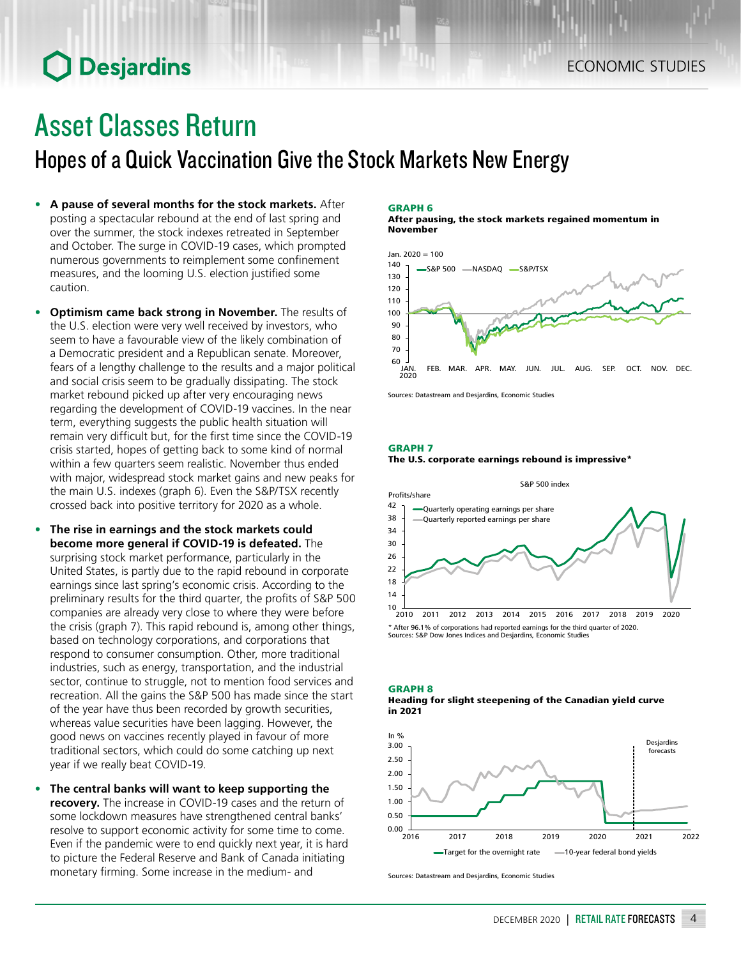## **O** Desjardins

# Asset Classes Return

Hopes of a Quick Vaccination Give the Stock Markets New Energy

- **• A pause of several months for the stock markets.** After posting a spectacular rebound at the end of last spring and over the summer, the stock indexes retreated in September and October. The surge in COVID-19 cases, which prompted numerous governments to reimplement some confinement measures, and the looming U.S. election justified some caution.
- **• Optimism came back strong in November.** The results of the U.S. election were very well received by investors, who seem to have a favourable view of the likely combination of a Democratic president and a Republican senate. Moreover, fears of a lengthy challenge to the results and a major political and social crisis seem to be gradually dissipating. The stock market rebound picked up after very encouraging news regarding the development of COVID-19 vaccines. In the near term, everything suggests the public health situation will remain very difficult but, for the first time since the COVID-19 crisis started, hopes of getting back to some kind of normal within a few quarters seem realistic. November thus ended with major, widespread stock market gains and new peaks for the main U.S. indexes (graph 6). Even the S&P/TSX recently crossed back into positive territory for 2020 as a whole.
- **• The rise in earnings and the stock markets could become more general if COVID‑19 is defeated.** The surprising stock market performance, particularly in the United States, is partly due to the rapid rebound in corporate earnings since last spring's economic crisis. According to the preliminary results for the third quarter, the profits of S&P 500 companies are already very close to where they were before the crisis (graph 7). This rapid rebound is, among other things, based on technology corporations, and corporations that respond to consumer consumption. Other, more traditional industries, such as energy, transportation, and the industrial sector, continue to struggle, not to mention food services and recreation. All the gains the S&P 500 has made since the start of the year have thus been recorded by growth securities, whereas value securities have been lagging. However, the good news on vaccines recently played in favour of more traditional sectors, which could do some catching up next year if we really beat COVID-19.
- **• The central banks will want to keep supporting the recovery.** The increase in COVID-19 cases and the return of some lockdown measures have strengthened central banks' resolve to support economic activity for some time to come. Even if the pandemic were to end quickly next year, it is hard to picture the Federal Reserve and Bank of Canada initiating monetary firming. Some increase in the medium- and

#### GRAPH 6

After pausing, the stock markets regained momentum in November



Sources: Datastream and Desjardins, Economic Studies

#### GRAPH 7





Sources: S&P Dow Jones Indices and Desjardins, Economic Studies





Sources: Datastream and Desjardins, Economic Studies